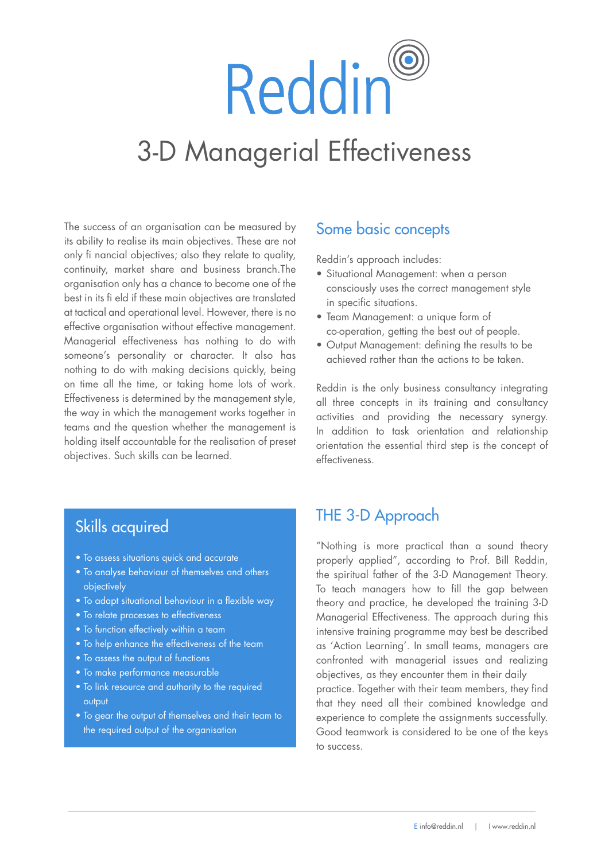# Reddin® 3-D Managerial Effectiveness

The success of an organisation can be measured by its ability to realise its main objectives. These are not only fi nancial objectives; also they relate to quality, continuity, market share and business branch.The organisation only has a chance to become one of the best in its fi eld if these main objectives are translated at tactical and operational level. However, there is no an densel and operational foreit hereich, increasing<br>effective organisation without effective management. Managerial effectiveness has nothing to do with someone's personality or character. It also has nothing to do with making decisions quickly, being on time all the time, or taking home lots of work. Effectiveness is determined by the management style, the way in which the management works together in teams and the question whether the management is holding itself accountable for the realisation of preset objectives. Such skills can be learned. besit in his in eigen met de main objectives are framslated

# Some basic concepts

Reddin's approach includes:

- $\bullet$  Situational Management: when a person consciously uses the correct management style in specific situations.
- $\bullet$  Team Management: a unique form of co-operation, getting the best out of people.
- $\bullet$  Output Management: defining the results to be achieved rather than the actions to be taken.

Reddin is the only business consultancy integrating all three concepts in its training and consultancy activities and providing the necessary synergy. In addition to task orientation and relationship orientation the essential third step is the concept of effectiveness.

### deze in de praktijk hebben opgeleverd. Daarna wordt het samenwerkend van het team geëvalueerd. Die team geëvalue er

- To assess situations quick and accurate
- To analyse behaviour of themselves and others een verbetering op.<br>Objectively
	- To adapt situational behaviour in a flexible way
- To relate processes to effectiveness
- aan bod: hoe het team tot zijn beslissingen komt, of het To function effectively within a team
- $\bullet$  To help enhance the effectiveness of the team  $\bullet$
- $\bullet$  To assess the output of functions  $\bullet$  To assess the output of functions

vervolgens vast of aanpassing nodig is.

- To make performance measurable $\bullet$  To make performance measurable
- $\bullet$  To link resource and authority to the required  $\hspace{0.1cm}$ op basis van de 3-D management theorie. Zo zal tijdens te stel tijdens tot de 3-D management tot de 2-D manage output
- $\bullet$  To gear the output of themselves and their team to the required output of the organisation.  $\mathbb{R}^n$

# THE 3-D Approach werksituatie en laten een goede opbouw zien"

"Nothing is more practical than a sound theory properly applied", according to Prof. Bill Reddin,<br>the enititied father of the 2 D Management Theory. the spiritual father of the 3-D Management Theory. To teach managers how to fill the gap between theory and practice, he developed the training 3-D Managerial Effectiveness. The approach during this intensive training programme may best be described as 'Action Learning'. In small teams, managers are confronted with managerial issues and realizing objectives, as they encounter them in their daily practice. Together with their team members, they find that they need all their combined knowledge and experience to complete the assignments successfully. Good teamwork is considered to be one of the keys to success.